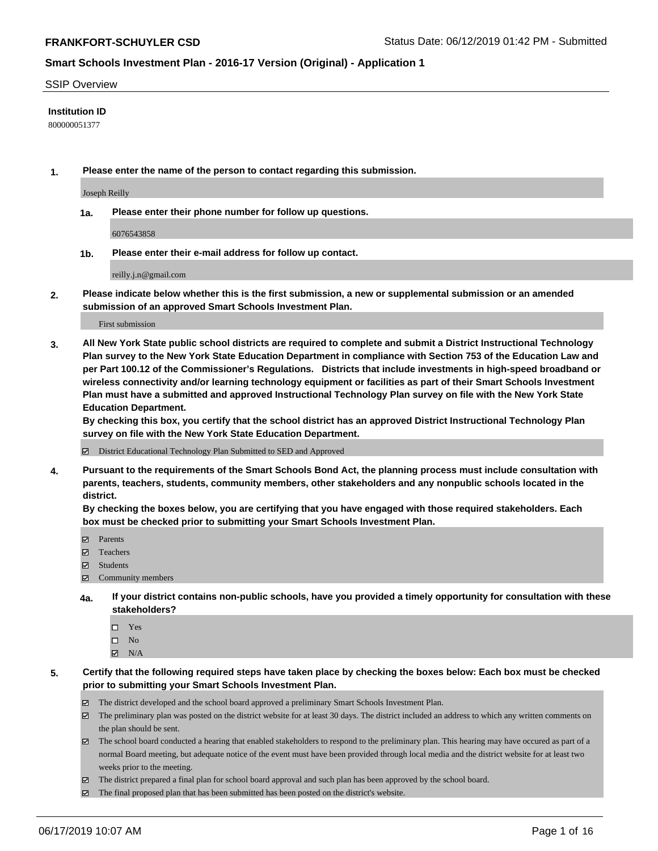#### SSIP Overview

#### **Institution ID**

800000051377

**1. Please enter the name of the person to contact regarding this submission.**

Joseph Reilly

**1a. Please enter their phone number for follow up questions.**

6076543858

**1b. Please enter their e-mail address for follow up contact.**

reilly.j.n@gmail.com

**2. Please indicate below whether this is the first submission, a new or supplemental submission or an amended submission of an approved Smart Schools Investment Plan.**

First submission

**3. All New York State public school districts are required to complete and submit a District Instructional Technology Plan survey to the New York State Education Department in compliance with Section 753 of the Education Law and per Part 100.12 of the Commissioner's Regulations. Districts that include investments in high-speed broadband or wireless connectivity and/or learning technology equipment or facilities as part of their Smart Schools Investment Plan must have a submitted and approved Instructional Technology Plan survey on file with the New York State Education Department.** 

**By checking this box, you certify that the school district has an approved District Instructional Technology Plan survey on file with the New York State Education Department.**

District Educational Technology Plan Submitted to SED and Approved

**4. Pursuant to the requirements of the Smart Schools Bond Act, the planning process must include consultation with parents, teachers, students, community members, other stakeholders and any nonpublic schools located in the district.** 

**By checking the boxes below, you are certifying that you have engaged with those required stakeholders. Each box must be checked prior to submitting your Smart Schools Investment Plan.**

- Parents
- Teachers
- Students
- $\Xi$  Community members
- **4a. If your district contains non-public schools, have you provided a timely opportunity for consultation with these stakeholders?**
	- □ Yes
	- $\square$  No
	- $\boxtimes$  N/A

**5. Certify that the following required steps have taken place by checking the boxes below: Each box must be checked prior to submitting your Smart Schools Investment Plan.**

- The district developed and the school board approved a preliminary Smart Schools Investment Plan.
- $\boxtimes$  The preliminary plan was posted on the district website for at least 30 days. The district included an address to which any written comments on the plan should be sent.
- $\boxtimes$  The school board conducted a hearing that enabled stakeholders to respond to the preliminary plan. This hearing may have occured as part of a normal Board meeting, but adequate notice of the event must have been provided through local media and the district website for at least two weeks prior to the meeting.
- The district prepared a final plan for school board approval and such plan has been approved by the school board.
- $\boxtimes$  The final proposed plan that has been submitted has been posted on the district's website.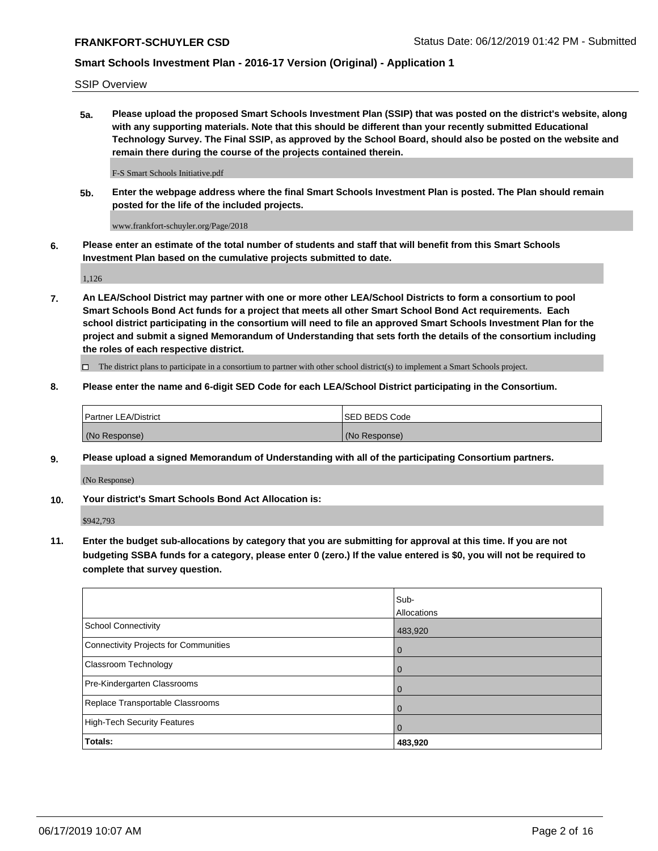SSIP Overview

**5a. Please upload the proposed Smart Schools Investment Plan (SSIP) that was posted on the district's website, along with any supporting materials. Note that this should be different than your recently submitted Educational Technology Survey. The Final SSIP, as approved by the School Board, should also be posted on the website and remain there during the course of the projects contained therein.**

F-S Smart Schools Initiative.pdf

**5b. Enter the webpage address where the final Smart Schools Investment Plan is posted. The Plan should remain posted for the life of the included projects.**

www.frankfort-schuyler.org/Page/2018

**6. Please enter an estimate of the total number of students and staff that will benefit from this Smart Schools Investment Plan based on the cumulative projects submitted to date.**

1,126

**7. An LEA/School District may partner with one or more other LEA/School Districts to form a consortium to pool Smart Schools Bond Act funds for a project that meets all other Smart School Bond Act requirements. Each school district participating in the consortium will need to file an approved Smart Schools Investment Plan for the project and submit a signed Memorandum of Understanding that sets forth the details of the consortium including the roles of each respective district.**

 $\Box$  The district plans to participate in a consortium to partner with other school district(s) to implement a Smart Schools project.

### **8. Please enter the name and 6-digit SED Code for each LEA/School District participating in the Consortium.**

| <b>Partner LEA/District</b> | <b>ISED BEDS Code</b> |
|-----------------------------|-----------------------|
| (No Response)               | (No Response)         |

#### **9. Please upload a signed Memorandum of Understanding with all of the participating Consortium partners.**

(No Response)

**10. Your district's Smart Schools Bond Act Allocation is:**

\$942,793

**11. Enter the budget sub-allocations by category that you are submitting for approval at this time. If you are not budgeting SSBA funds for a category, please enter 0 (zero.) If the value entered is \$0, you will not be required to complete that survey question.**

|                                       | Sub-<br>Allocations |
|---------------------------------------|---------------------|
| School Connectivity                   | 483,920             |
| Connectivity Projects for Communities | $\overline{0}$      |
| <b>Classroom Technology</b>           | $\overline{0}$      |
| Pre-Kindergarten Classrooms           | $\Omega$            |
| Replace Transportable Classrooms      | $\mathbf 0$         |
| High-Tech Security Features           | $\overline{0}$      |
| Totals:                               | 483,920             |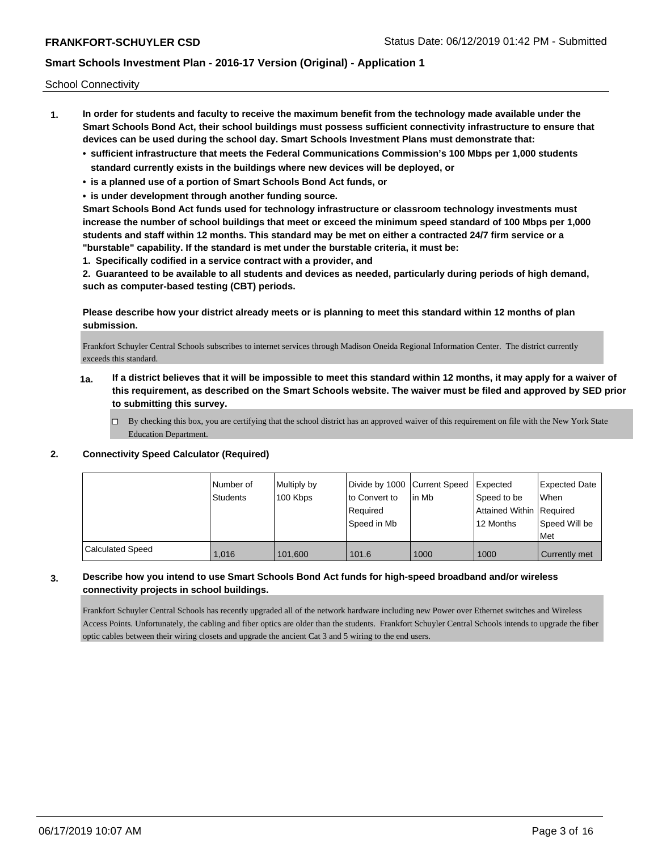School Connectivity

- **1. In order for students and faculty to receive the maximum benefit from the technology made available under the Smart Schools Bond Act, their school buildings must possess sufficient connectivity infrastructure to ensure that devices can be used during the school day. Smart Schools Investment Plans must demonstrate that:**
	- **• sufficient infrastructure that meets the Federal Communications Commission's 100 Mbps per 1,000 students standard currently exists in the buildings where new devices will be deployed, or**
	- **• is a planned use of a portion of Smart Schools Bond Act funds, or**
	- **• is under development through another funding source.**

**Smart Schools Bond Act funds used for technology infrastructure or classroom technology investments must increase the number of school buildings that meet or exceed the minimum speed standard of 100 Mbps per 1,000 students and staff within 12 months. This standard may be met on either a contracted 24/7 firm service or a "burstable" capability. If the standard is met under the burstable criteria, it must be:**

**1. Specifically codified in a service contract with a provider, and**

**2. Guaranteed to be available to all students and devices as needed, particularly during periods of high demand, such as computer-based testing (CBT) periods.**

### **Please describe how your district already meets or is planning to meet this standard within 12 months of plan submission.**

Frankfort Schuyler Central Schools subscribes to internet services through Madison Oneida Regional Information Center. The district currently exceeds this standard.

- **1a. If a district believes that it will be impossible to meet this standard within 12 months, it may apply for a waiver of this requirement, as described on the Smart Schools website. The waiver must be filed and approved by SED prior to submitting this survey.**
	- $\Box$  By checking this box, you are certifying that the school district has an approved waiver of this requirement on file with the New York State Education Department.

#### **2. Connectivity Speed Calculator (Required)**

|                         | l Number of<br><b>Students</b> | Multiply by<br>100 Kbps | Divide by 1000 Current Speed<br>to Convert to<br>Reauired<br>Speed in Mb | lin Mb | Expected<br>Speed to be<br>Attained Within Required<br>12 Months | <b>Expected Date</b><br><b>When</b><br>Speed Will be<br>Met |
|-------------------------|--------------------------------|-------------------------|--------------------------------------------------------------------------|--------|------------------------------------------------------------------|-------------------------------------------------------------|
| <b>Calculated Speed</b> | 1,016                          | 101,600                 | 101.6                                                                    | 1000   | 1000                                                             | <b>Currently met</b>                                        |

## **3. Describe how you intend to use Smart Schools Bond Act funds for high-speed broadband and/or wireless connectivity projects in school buildings.**

Frankfort Schuyler Central Schools has recently upgraded all of the network hardware including new Power over Ethernet switches and Wireless Access Points. Unfortunately, the cabling and fiber optics are older than the students. Frankfort Schuyler Central Schools intends to upgrade the fiber optic cables between their wiring closets and upgrade the ancient Cat 3 and 5 wiring to the end users.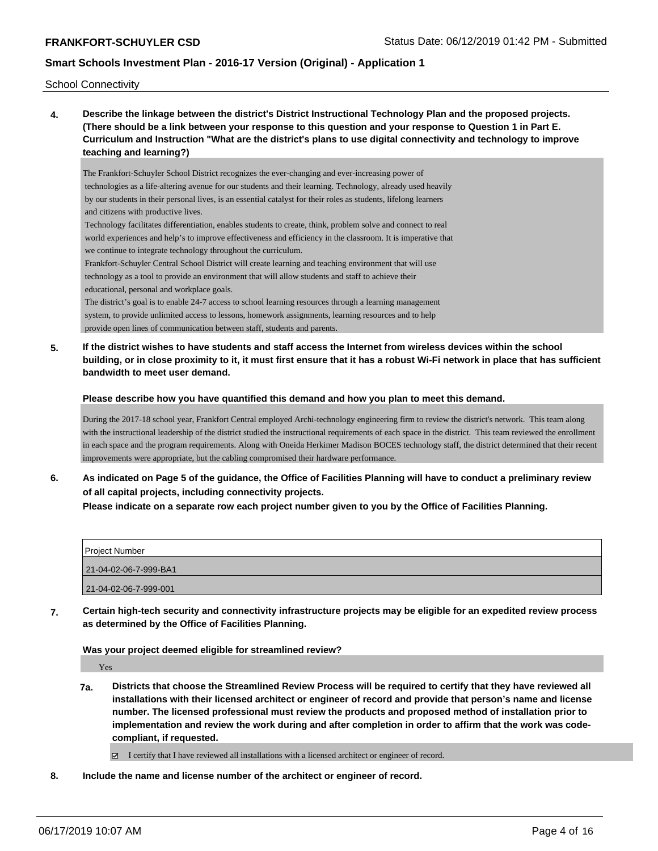School Connectivity

**4. Describe the linkage between the district's District Instructional Technology Plan and the proposed projects. (There should be a link between your response to this question and your response to Question 1 in Part E. Curriculum and Instruction "What are the district's plans to use digital connectivity and technology to improve teaching and learning?)**

The Frankfort-Schuyler School District recognizes the ever-changing and ever-increasing power of technologies as a life-altering avenue for our students and their learning. Technology, already used heavily by our students in their personal lives, is an essential catalyst for their roles as students, lifelong learners and citizens with productive lives.

 Technology facilitates differentiation, enables students to create, think, problem solve and connect to real world experiences and help's to improve effectiveness and efficiency in the classroom. It is imperative that we continue to integrate technology throughout the curriculum.

 Frankfort-Schuyler Central School District will create learning and teaching environment that will use technology as a tool to provide an environment that will allow students and staff to achieve their educational, personal and workplace goals.

 The district's goal is to enable 24-7 access to school learning resources through a learning management system, to provide unlimited access to lessons, homework assignments, learning resources and to help provide open lines of communication between staff, students and parents.

**5. If the district wishes to have students and staff access the Internet from wireless devices within the school building, or in close proximity to it, it must first ensure that it has a robust Wi-Fi network in place that has sufficient bandwidth to meet user demand.**

#### **Please describe how you have quantified this demand and how you plan to meet this demand.**

During the 2017-18 school year, Frankfort Central employed Archi-technology engineering firm to review the district's network. This team along with the instructional leadership of the district studied the instructional requirements of each space in the district. This team reviewed the enrollment in each space and the program requirements. Along with Oneida Herkimer Madison BOCES technology staff, the district determined that their recent improvements were appropriate, but the cabling compromised their hardware performance.

**6. As indicated on Page 5 of the guidance, the Office of Facilities Planning will have to conduct a preliminary review of all capital projects, including connectivity projects.**

**Please indicate on a separate row each project number given to you by the Office of Facilities Planning.**

| <b>Project Number</b> |  |
|-----------------------|--|
| 21-04-02-06-7-999-BA1 |  |
| 21-04-02-06-7-999-001 |  |

**7. Certain high-tech security and connectivity infrastructure projects may be eligible for an expedited review process as determined by the Office of Facilities Planning.**

**Was your project deemed eligible for streamlined review?**

Yes

**7a. Districts that choose the Streamlined Review Process will be required to certify that they have reviewed all installations with their licensed architect or engineer of record and provide that person's name and license number. The licensed professional must review the products and proposed method of installation prior to implementation and review the work during and after completion in order to affirm that the work was codecompliant, if requested.**

I certify that I have reviewed all installations with a licensed architect or engineer of record.

**8. Include the name and license number of the architect or engineer of record.**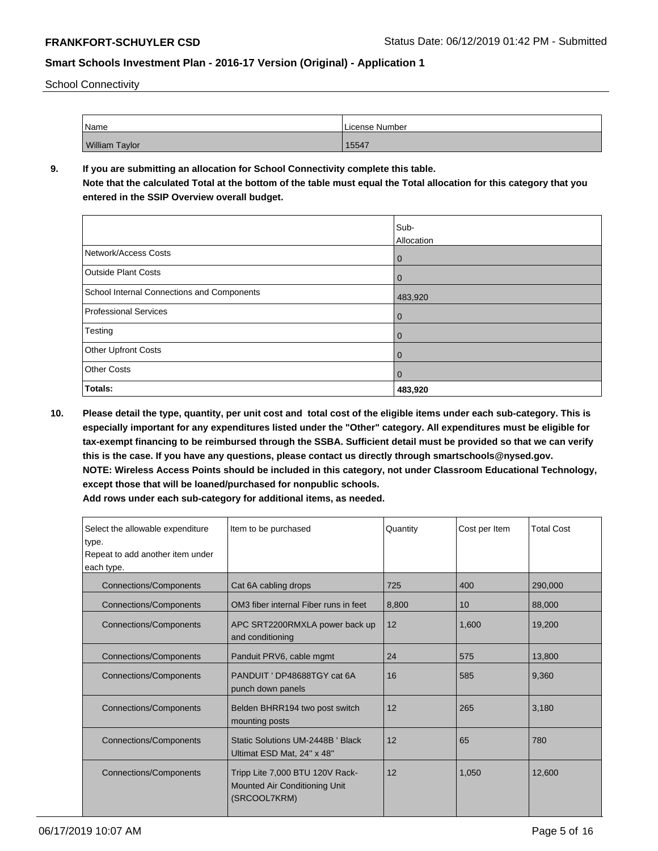School Connectivity

| Name                  | License Number |
|-----------------------|----------------|
| <b>William Taylor</b> | 15547          |

## **9. If you are submitting an allocation for School Connectivity complete this table.**

**Note that the calculated Total at the bottom of the table must equal the Total allocation for this category that you entered in the SSIP Overview overall budget.** 

|                                            | Sub-           |
|--------------------------------------------|----------------|
|                                            | Allocation     |
| Network/Access Costs                       | $\mathbf{0}$   |
| <b>Outside Plant Costs</b>                 | $\overline{0}$ |
| School Internal Connections and Components | 483,920        |
| <b>Professional Services</b>               | $\overline{0}$ |
| Testing                                    | $\overline{0}$ |
| <b>Other Upfront Costs</b>                 | $\mathbf{0}$   |
| <b>Other Costs</b>                         | $\overline{0}$ |
| Totals:                                    | 483,920        |

**10. Please detail the type, quantity, per unit cost and total cost of the eligible items under each sub-category. This is especially important for any expenditures listed under the "Other" category. All expenditures must be eligible for tax-exempt financing to be reimbursed through the SSBA. Sufficient detail must be provided so that we can verify this is the case. If you have any questions, please contact us directly through smartschools@nysed.gov. NOTE: Wireless Access Points should be included in this category, not under Classroom Educational Technology, except those that will be loaned/purchased for nonpublic schools.**

| Select the allowable expenditure<br>type.<br>Repeat to add another item under<br>each type. | Item to be purchased                                                                    | Quantity | Cost per Item | <b>Total Cost</b> |
|---------------------------------------------------------------------------------------------|-----------------------------------------------------------------------------------------|----------|---------------|-------------------|
| <b>Connections/Components</b>                                                               | Cat 6A cabling drops                                                                    | 725      | 400           | 290,000           |
| <b>Connections/Components</b>                                                               | OM3 fiber internal Fiber runs in feet                                                   | 8,800    | 10            | 88,000            |
| <b>Connections/Components</b>                                                               | APC SRT2200RMXLA power back up<br>and conditioning                                      | 12       | 1,600         | 19,200            |
| <b>Connections/Components</b>                                                               | Panduit PRV6, cable mgmt                                                                | 24       | 575           | 13,800            |
| <b>Connections/Components</b>                                                               | PANDUIT ' DP48688TGY cat 6A<br>punch down panels                                        | 16       | 585           | 9,360             |
| <b>Connections/Components</b>                                                               | Belden BHRR194 two post switch<br>mounting posts                                        | 12       | 265           | 3.180             |
| <b>Connections/Components</b>                                                               | Static Solutions UM-2448B ' Black<br>Ultimat ESD Mat, 24" x 48"                         | 12       | 65            | 780               |
| <b>Connections/Components</b>                                                               | Tripp Lite 7,000 BTU 120V Rack-<br><b>Mounted Air Conditioning Unit</b><br>(SRCOOL7KRM) | 12       | 1.050         | 12.600            |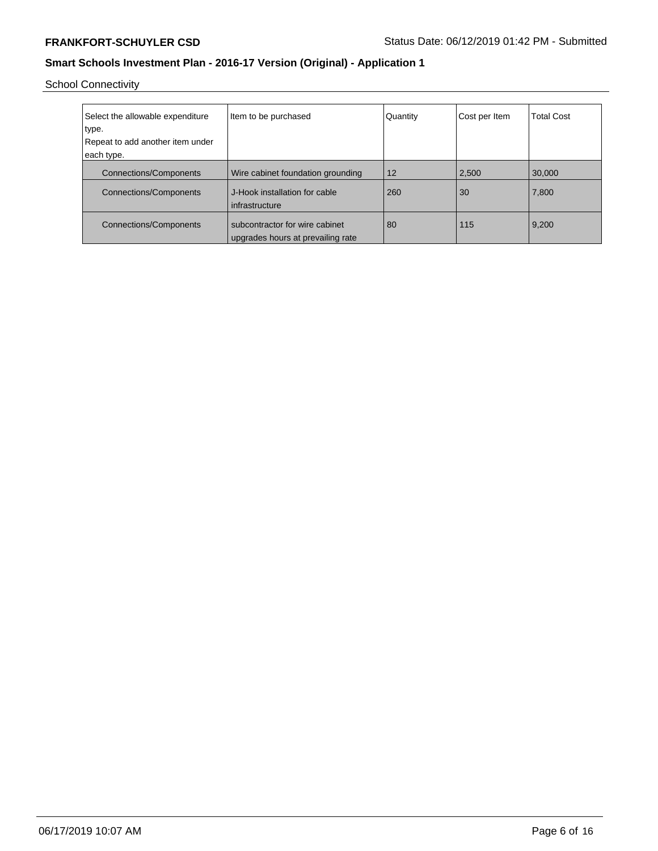School Connectivity

| Select the allowable expenditure<br>type. | Item to be purchased                                                | Quantity | Cost per Item | <b>Total Cost</b> |
|-------------------------------------------|---------------------------------------------------------------------|----------|---------------|-------------------|
| Repeat to add another item under          |                                                                     |          |               |                   |
| each type.                                |                                                                     |          |               |                   |
| <b>Connections/Components</b>             | Wire cabinet foundation grounding                                   | 12       | 2,500         | 30,000            |
| <b>Connections/Components</b>             | J-Hook installation for cable<br>infrastructure                     | 260      | 30            | 7,800             |
| <b>Connections/Components</b>             | subcontractor for wire cabinet<br>upgrades hours at prevailing rate | 80       | 115           | 9,200             |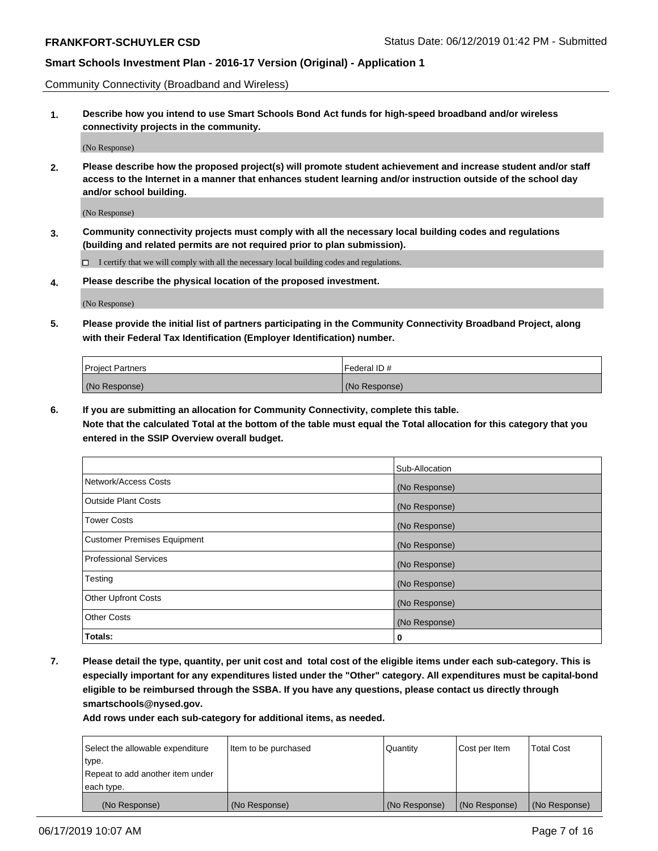Community Connectivity (Broadband and Wireless)

**1. Describe how you intend to use Smart Schools Bond Act funds for high-speed broadband and/or wireless connectivity projects in the community.**

(No Response)

**2. Please describe how the proposed project(s) will promote student achievement and increase student and/or staff access to the Internet in a manner that enhances student learning and/or instruction outside of the school day and/or school building.**

(No Response)

**3. Community connectivity projects must comply with all the necessary local building codes and regulations (building and related permits are not required prior to plan submission).**

 $\Box$  I certify that we will comply with all the necessary local building codes and regulations.

**4. Please describe the physical location of the proposed investment.**

(No Response)

**5. Please provide the initial list of partners participating in the Community Connectivity Broadband Project, along with their Federal Tax Identification (Employer Identification) number.**

| <b>Project Partners</b> | <sup>I</sup> Federal ID # |
|-------------------------|---------------------------|
| (No Response)           | (No Response)             |

**6. If you are submitting an allocation for Community Connectivity, complete this table.**

**Note that the calculated Total at the bottom of the table must equal the Total allocation for this category that you entered in the SSIP Overview overall budget.**

|                                    | Sub-Allocation |
|------------------------------------|----------------|
| Network/Access Costs               | (No Response)  |
| <b>Outside Plant Costs</b>         | (No Response)  |
| <b>Tower Costs</b>                 | (No Response)  |
| <b>Customer Premises Equipment</b> | (No Response)  |
| <b>Professional Services</b>       | (No Response)  |
| Testing                            | (No Response)  |
| <b>Other Upfront Costs</b>         | (No Response)  |
| <b>Other Costs</b>                 | (No Response)  |
| Totals:                            | 0              |

**7. Please detail the type, quantity, per unit cost and total cost of the eligible items under each sub-category. This is especially important for any expenditures listed under the "Other" category. All expenditures must be capital-bond eligible to be reimbursed through the SSBA. If you have any questions, please contact us directly through smartschools@nysed.gov.**

| Select the allowable expenditure<br>type.      | Item to be purchased | Quantity      | Cost per Item | <b>Total Cost</b> |
|------------------------------------------------|----------------------|---------------|---------------|-------------------|
| Repeat to add another item under<br>each type. |                      |               |               |                   |
| (No Response)                                  | (No Response)        | (No Response) | (No Response) | (No Response)     |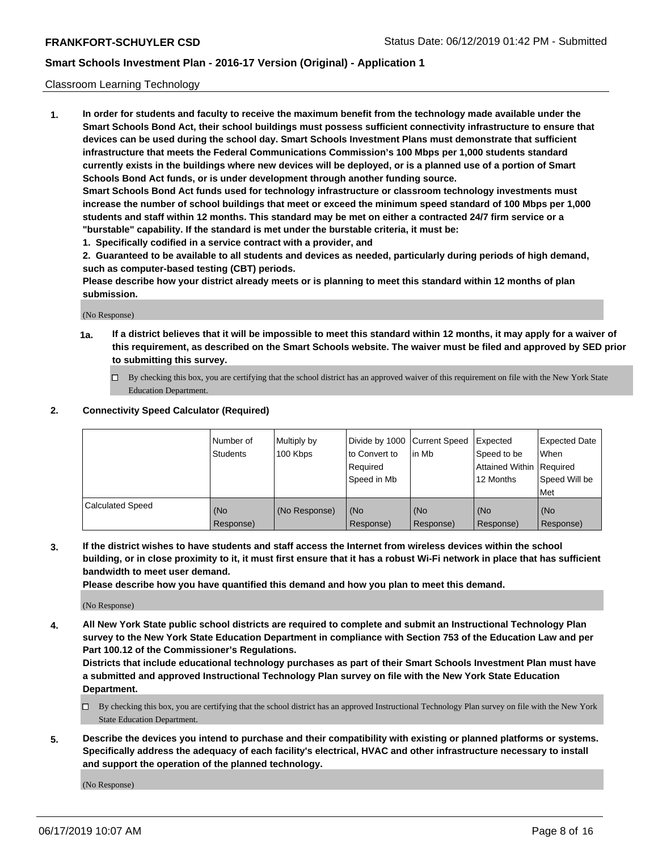#### Classroom Learning Technology

**1. In order for students and faculty to receive the maximum benefit from the technology made available under the Smart Schools Bond Act, their school buildings must possess sufficient connectivity infrastructure to ensure that devices can be used during the school day. Smart Schools Investment Plans must demonstrate that sufficient infrastructure that meets the Federal Communications Commission's 100 Mbps per 1,000 students standard currently exists in the buildings where new devices will be deployed, or is a planned use of a portion of Smart Schools Bond Act funds, or is under development through another funding source. Smart Schools Bond Act funds used for technology infrastructure or classroom technology investments must**

**increase the number of school buildings that meet or exceed the minimum speed standard of 100 Mbps per 1,000 students and staff within 12 months. This standard may be met on either a contracted 24/7 firm service or a "burstable" capability. If the standard is met under the burstable criteria, it must be:**

**1. Specifically codified in a service contract with a provider, and**

**2. Guaranteed to be available to all students and devices as needed, particularly during periods of high demand, such as computer-based testing (CBT) periods.**

**Please describe how your district already meets or is planning to meet this standard within 12 months of plan submission.**

(No Response)

- **1a. If a district believes that it will be impossible to meet this standard within 12 months, it may apply for a waiver of this requirement, as described on the Smart Schools website. The waiver must be filed and approved by SED prior to submitting this survey.**
	- By checking this box, you are certifying that the school district has an approved waiver of this requirement on file with the New York State Education Department.

#### **2. Connectivity Speed Calculator (Required)**

|                         | l Number of<br>Students | Multiply by<br>100 Kbps | to Convert to<br>Required<br>Speed in Mb | Divide by 1000 Current Speed Expected<br>lin Mb | Speed to be<br>Attained Within Required<br>12 Months | <b>Expected Date</b><br>When<br>Speed Will be<br>Met |
|-------------------------|-------------------------|-------------------------|------------------------------------------|-------------------------------------------------|------------------------------------------------------|------------------------------------------------------|
| <b>Calculated Speed</b> | (No<br>Response)        | (No Response)           | (No<br>Response)                         | (No<br>Response)                                | (No<br>Response)                                     | (No<br>Response)                                     |

**3. If the district wishes to have students and staff access the Internet from wireless devices within the school building, or in close proximity to it, it must first ensure that it has a robust Wi-Fi network in place that has sufficient bandwidth to meet user demand.**

**Please describe how you have quantified this demand and how you plan to meet this demand.**

(No Response)

**4. All New York State public school districts are required to complete and submit an Instructional Technology Plan survey to the New York State Education Department in compliance with Section 753 of the Education Law and per Part 100.12 of the Commissioner's Regulations.**

**Districts that include educational technology purchases as part of their Smart Schools Investment Plan must have a submitted and approved Instructional Technology Plan survey on file with the New York State Education Department.**

- $\Box$  By checking this box, you are certifying that the school district has an approved Instructional Technology Plan survey on file with the New York State Education Department.
- **5. Describe the devices you intend to purchase and their compatibility with existing or planned platforms or systems. Specifically address the adequacy of each facility's electrical, HVAC and other infrastructure necessary to install and support the operation of the planned technology.**

(No Response)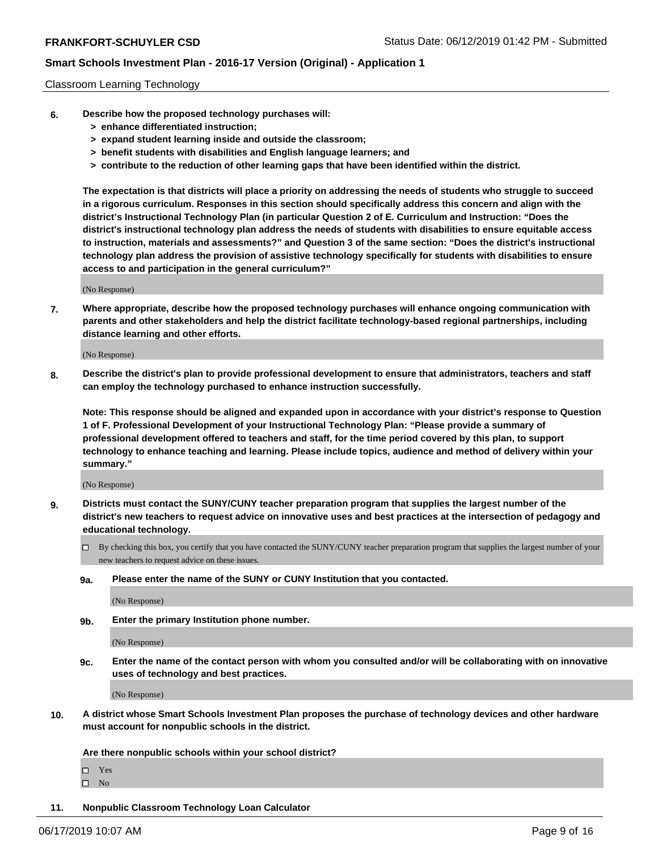#### Classroom Learning Technology

- **6. Describe how the proposed technology purchases will:**
	- **> enhance differentiated instruction;**
	- **> expand student learning inside and outside the classroom;**
	- **> benefit students with disabilities and English language learners; and**
	- **> contribute to the reduction of other learning gaps that have been identified within the district.**

**The expectation is that districts will place a priority on addressing the needs of students who struggle to succeed in a rigorous curriculum. Responses in this section should specifically address this concern and align with the district's Instructional Technology Plan (in particular Question 2 of E. Curriculum and Instruction: "Does the district's instructional technology plan address the needs of students with disabilities to ensure equitable access to instruction, materials and assessments?" and Question 3 of the same section: "Does the district's instructional technology plan address the provision of assistive technology specifically for students with disabilities to ensure access to and participation in the general curriculum?"**

(No Response)

**7. Where appropriate, describe how the proposed technology purchases will enhance ongoing communication with parents and other stakeholders and help the district facilitate technology-based regional partnerships, including distance learning and other efforts.**

(No Response)

**8. Describe the district's plan to provide professional development to ensure that administrators, teachers and staff can employ the technology purchased to enhance instruction successfully.**

**Note: This response should be aligned and expanded upon in accordance with your district's response to Question 1 of F. Professional Development of your Instructional Technology Plan: "Please provide a summary of professional development offered to teachers and staff, for the time period covered by this plan, to support technology to enhance teaching and learning. Please include topics, audience and method of delivery within your summary."**

(No Response)

- **9. Districts must contact the SUNY/CUNY teacher preparation program that supplies the largest number of the district's new teachers to request advice on innovative uses and best practices at the intersection of pedagogy and educational technology.**
	- By checking this box, you certify that you have contacted the SUNY/CUNY teacher preparation program that supplies the largest number of your new teachers to request advice on these issues.
	- **9a. Please enter the name of the SUNY or CUNY Institution that you contacted.**

(No Response)

**9b. Enter the primary Institution phone number.**

(No Response)

**9c. Enter the name of the contact person with whom you consulted and/or will be collaborating with on innovative uses of technology and best practices.**

(No Response)

**10. A district whose Smart Schools Investment Plan proposes the purchase of technology devices and other hardware must account for nonpublic schools in the district.**

**Are there nonpublic schools within your school district?**

Yes

 $\square$  No

**11. Nonpublic Classroom Technology Loan Calculator**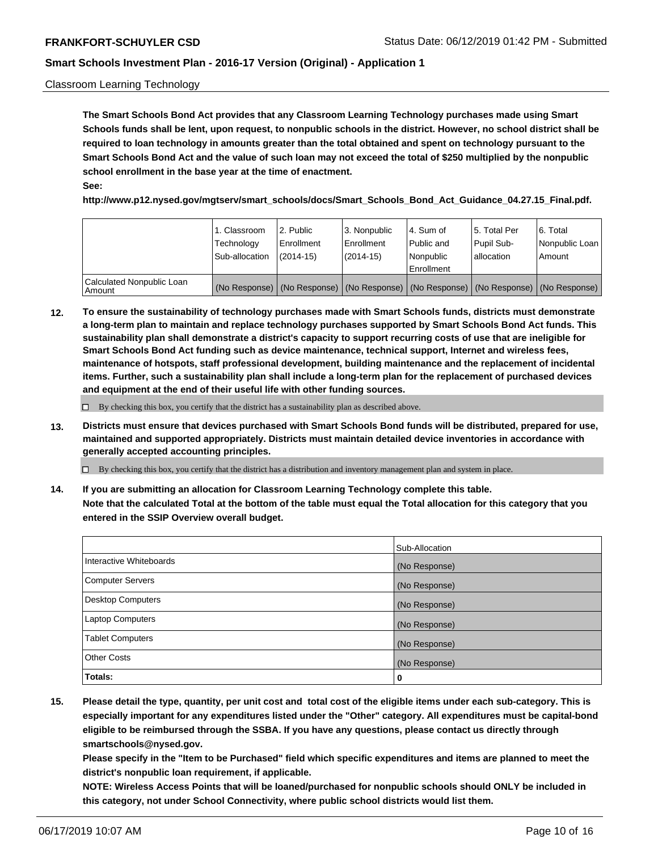#### Classroom Learning Technology

**The Smart Schools Bond Act provides that any Classroom Learning Technology purchases made using Smart Schools funds shall be lent, upon request, to nonpublic schools in the district. However, no school district shall be required to loan technology in amounts greater than the total obtained and spent on technology pursuant to the Smart Schools Bond Act and the value of such loan may not exceed the total of \$250 multiplied by the nonpublic school enrollment in the base year at the time of enactment. See:**

**http://www.p12.nysed.gov/mgtserv/smart\_schools/docs/Smart\_Schools\_Bond\_Act\_Guidance\_04.27.15\_Final.pdf.**

|                                       | 1. Classroom<br>Technology<br>Sub-allocation | 2. Public<br>l Enrollment<br>(2014-15) | l 3. Nonpublic<br>l Enrollment<br>$(2014 - 15)$ | l 4. Sum of<br>l Public and<br>l Nonpublic<br>Enrollment                                      | 15. Total Per<br>Pupil Sub-<br>l allocation | l 6. Total<br>Nonpublic Loan<br>Amount |
|---------------------------------------|----------------------------------------------|----------------------------------------|-------------------------------------------------|-----------------------------------------------------------------------------------------------|---------------------------------------------|----------------------------------------|
| Calculated Nonpublic Loan<br>l Amount |                                              |                                        |                                                 | (No Response)   (No Response)   (No Response)   (No Response)   (No Response)   (No Response) |                                             |                                        |

**12. To ensure the sustainability of technology purchases made with Smart Schools funds, districts must demonstrate a long-term plan to maintain and replace technology purchases supported by Smart Schools Bond Act funds. This sustainability plan shall demonstrate a district's capacity to support recurring costs of use that are ineligible for Smart Schools Bond Act funding such as device maintenance, technical support, Internet and wireless fees, maintenance of hotspots, staff professional development, building maintenance and the replacement of incidental items. Further, such a sustainability plan shall include a long-term plan for the replacement of purchased devices and equipment at the end of their useful life with other funding sources.**

 $\Box$  By checking this box, you certify that the district has a sustainability plan as described above.

**13. Districts must ensure that devices purchased with Smart Schools Bond funds will be distributed, prepared for use, maintained and supported appropriately. Districts must maintain detailed device inventories in accordance with generally accepted accounting principles.**

By checking this box, you certify that the district has a distribution and inventory management plan and system in place.

**14. If you are submitting an allocation for Classroom Learning Technology complete this table. Note that the calculated Total at the bottom of the table must equal the Total allocation for this category that you entered in the SSIP Overview overall budget.**

|                          | Sub-Allocation |
|--------------------------|----------------|
| Interactive Whiteboards  | (No Response)  |
| <b>Computer Servers</b>  | (No Response)  |
| <b>Desktop Computers</b> | (No Response)  |
| <b>Laptop Computers</b>  | (No Response)  |
| <b>Tablet Computers</b>  | (No Response)  |
| <b>Other Costs</b>       | (No Response)  |
| Totals:                  | 0              |

**15. Please detail the type, quantity, per unit cost and total cost of the eligible items under each sub-category. This is especially important for any expenditures listed under the "Other" category. All expenditures must be capital-bond eligible to be reimbursed through the SSBA. If you have any questions, please contact us directly through smartschools@nysed.gov.**

**Please specify in the "Item to be Purchased" field which specific expenditures and items are planned to meet the district's nonpublic loan requirement, if applicable.**

**NOTE: Wireless Access Points that will be loaned/purchased for nonpublic schools should ONLY be included in this category, not under School Connectivity, where public school districts would list them.**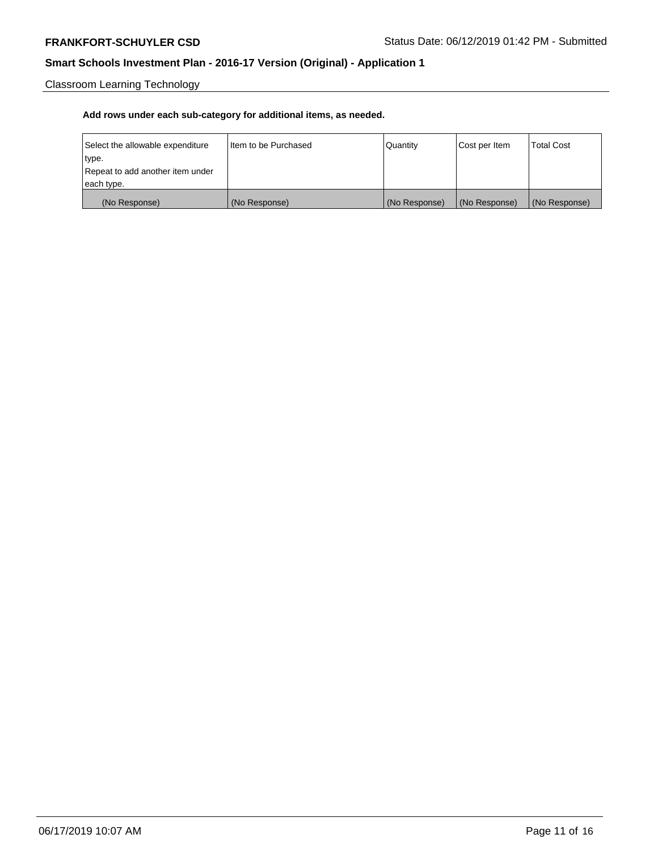Classroom Learning Technology

| Select the allowable expenditure | I Item to be Purchased | Quantity      | Cost per Item | <b>Total Cost</b> |
|----------------------------------|------------------------|---------------|---------------|-------------------|
| type.                            |                        |               |               |                   |
| Repeat to add another item under |                        |               |               |                   |
| each type.                       |                        |               |               |                   |
| (No Response)                    | (No Response)          | (No Response) | (No Response) | (No Response)     |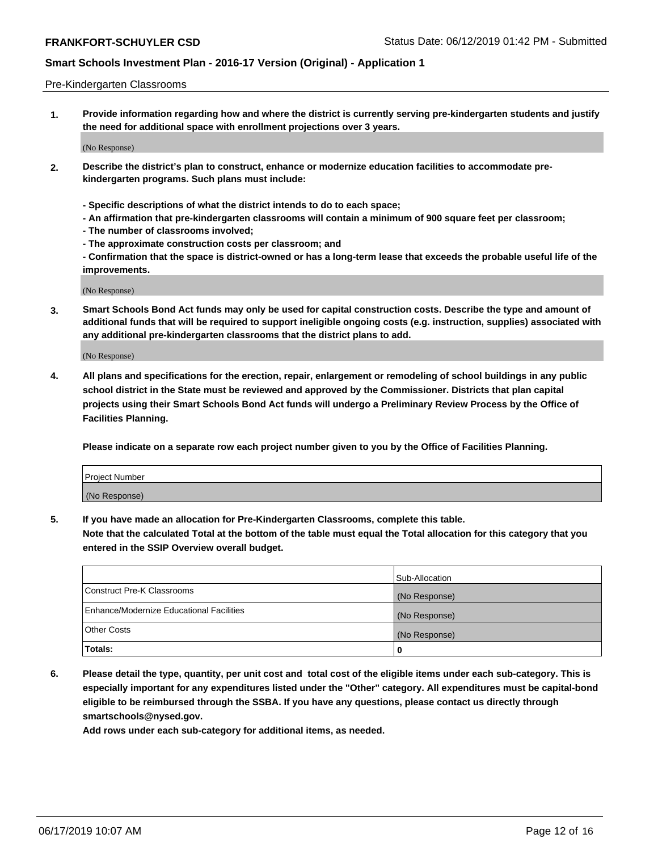#### Pre-Kindergarten Classrooms

**1. Provide information regarding how and where the district is currently serving pre-kindergarten students and justify the need for additional space with enrollment projections over 3 years.**

(No Response)

- **2. Describe the district's plan to construct, enhance or modernize education facilities to accommodate prekindergarten programs. Such plans must include:**
	- **Specific descriptions of what the district intends to do to each space;**
	- **An affirmation that pre-kindergarten classrooms will contain a minimum of 900 square feet per classroom;**
	- **The number of classrooms involved;**
	- **The approximate construction costs per classroom; and**
	- **Confirmation that the space is district-owned or has a long-term lease that exceeds the probable useful life of the improvements.**

(No Response)

**3. Smart Schools Bond Act funds may only be used for capital construction costs. Describe the type and amount of additional funds that will be required to support ineligible ongoing costs (e.g. instruction, supplies) associated with any additional pre-kindergarten classrooms that the district plans to add.**

(No Response)

**4. All plans and specifications for the erection, repair, enlargement or remodeling of school buildings in any public school district in the State must be reviewed and approved by the Commissioner. Districts that plan capital projects using their Smart Schools Bond Act funds will undergo a Preliminary Review Process by the Office of Facilities Planning.**

**Please indicate on a separate row each project number given to you by the Office of Facilities Planning.**

| Project Number |  |
|----------------|--|
| (No Response)  |  |
|                |  |

**5. If you have made an allocation for Pre-Kindergarten Classrooms, complete this table.**

**Note that the calculated Total at the bottom of the table must equal the Total allocation for this category that you entered in the SSIP Overview overall budget.**

|                                          | Sub-Allocation |
|------------------------------------------|----------------|
| Construct Pre-K Classrooms               | (No Response)  |
| Enhance/Modernize Educational Facilities | (No Response)  |
| <b>Other Costs</b>                       | (No Response)  |
| Totals:                                  | 0              |

**6. Please detail the type, quantity, per unit cost and total cost of the eligible items under each sub-category. This is especially important for any expenditures listed under the "Other" category. All expenditures must be capital-bond eligible to be reimbursed through the SSBA. If you have any questions, please contact us directly through smartschools@nysed.gov.**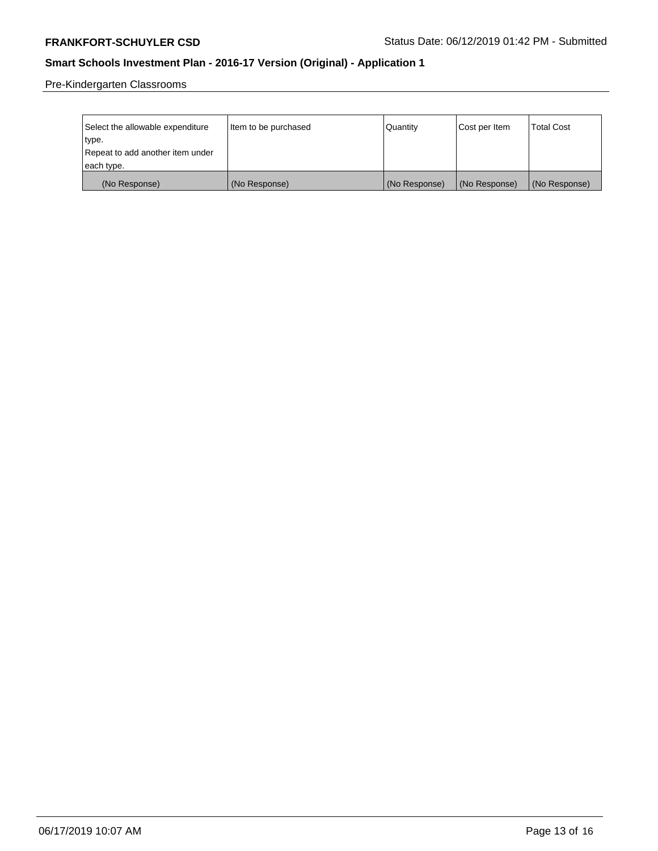Pre-Kindergarten Classrooms

| Select the allowable expenditure<br>type. | Item to be purchased | Quantity      | Cost per Item | <b>Total Cost</b> |
|-------------------------------------------|----------------------|---------------|---------------|-------------------|
| Repeat to add another item under          |                      |               |               |                   |
| each type.                                |                      |               |               |                   |
| (No Response)                             | (No Response)        | (No Response) | (No Response) | (No Response)     |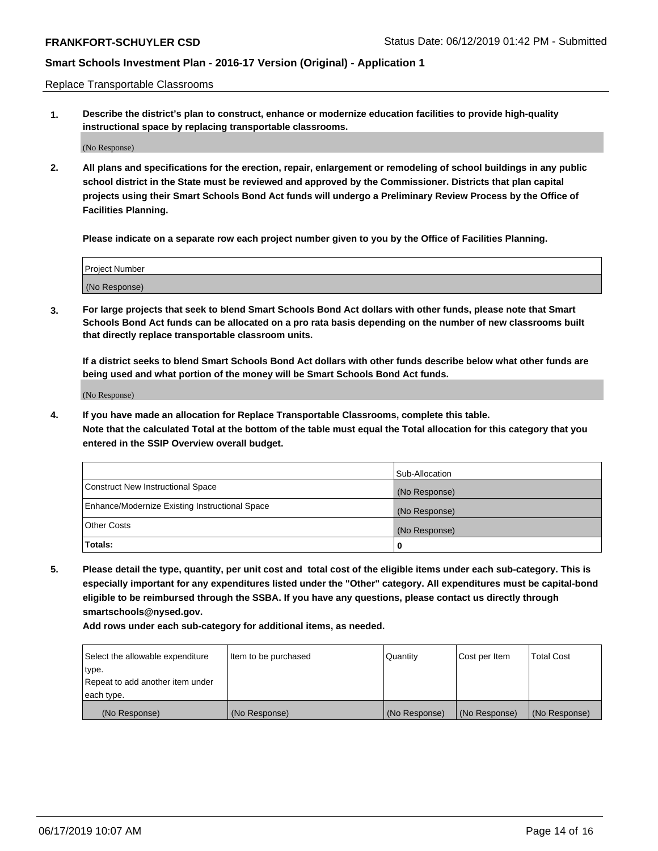Replace Transportable Classrooms

**1. Describe the district's plan to construct, enhance or modernize education facilities to provide high-quality instructional space by replacing transportable classrooms.**

(No Response)

**2. All plans and specifications for the erection, repair, enlargement or remodeling of school buildings in any public school district in the State must be reviewed and approved by the Commissioner. Districts that plan capital projects using their Smart Schools Bond Act funds will undergo a Preliminary Review Process by the Office of Facilities Planning.**

**Please indicate on a separate row each project number given to you by the Office of Facilities Planning.**

| Project Number |  |
|----------------|--|
|                |  |
|                |  |
|                |  |
|                |  |
| (No Response)  |  |
|                |  |
|                |  |
|                |  |

**3. For large projects that seek to blend Smart Schools Bond Act dollars with other funds, please note that Smart Schools Bond Act funds can be allocated on a pro rata basis depending on the number of new classrooms built that directly replace transportable classroom units.**

**If a district seeks to blend Smart Schools Bond Act dollars with other funds describe below what other funds are being used and what portion of the money will be Smart Schools Bond Act funds.**

(No Response)

**4. If you have made an allocation for Replace Transportable Classrooms, complete this table. Note that the calculated Total at the bottom of the table must equal the Total allocation for this category that you entered in the SSIP Overview overall budget.**

|                                                | Sub-Allocation |
|------------------------------------------------|----------------|
| Construct New Instructional Space              | (No Response)  |
| Enhance/Modernize Existing Instructional Space | (No Response)  |
| <b>Other Costs</b>                             | (No Response)  |
| Totals:                                        | 0              |

**5. Please detail the type, quantity, per unit cost and total cost of the eligible items under each sub-category. This is especially important for any expenditures listed under the "Other" category. All expenditures must be capital-bond eligible to be reimbursed through the SSBA. If you have any questions, please contact us directly through smartschools@nysed.gov.**

| Select the allowable expenditure | Item to be purchased | Quantity      | Cost per Item | Total Cost    |
|----------------------------------|----------------------|---------------|---------------|---------------|
| type.                            |                      |               |               |               |
| Repeat to add another item under |                      |               |               |               |
| each type.                       |                      |               |               |               |
| (No Response)                    | (No Response)        | (No Response) | (No Response) | (No Response) |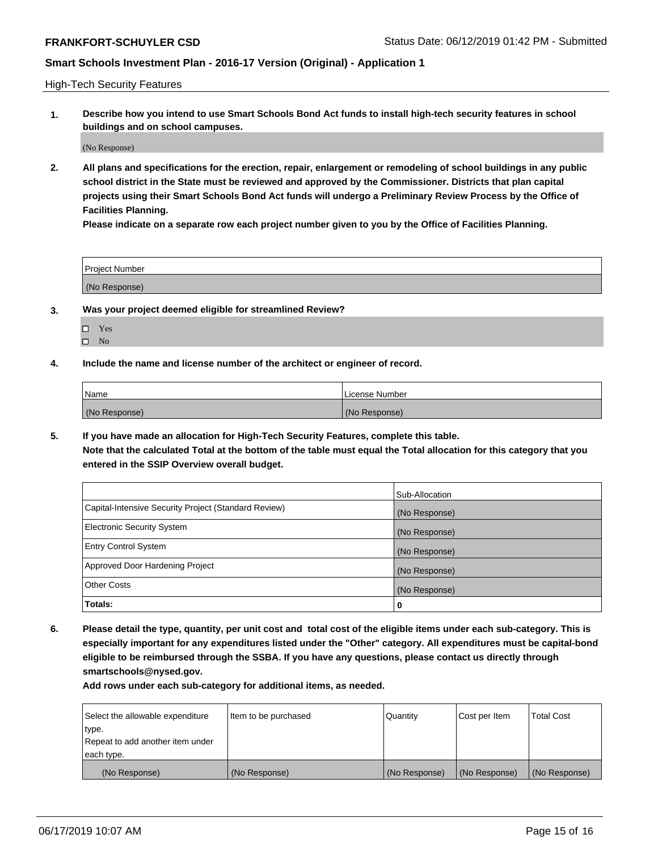High-Tech Security Features

**1. Describe how you intend to use Smart Schools Bond Act funds to install high-tech security features in school buildings and on school campuses.**

(No Response)

**2. All plans and specifications for the erection, repair, enlargement or remodeling of school buildings in any public school district in the State must be reviewed and approved by the Commissioner. Districts that plan capital projects using their Smart Schools Bond Act funds will undergo a Preliminary Review Process by the Office of Facilities Planning.** 

**Please indicate on a separate row each project number given to you by the Office of Facilities Planning.**

| <b>Project Number</b> |  |
|-----------------------|--|
| (No Response)         |  |

- **3. Was your project deemed eligible for streamlined Review?**
	- Yes
	- $\square$  No
- **4. Include the name and license number of the architect or engineer of record.**

| <b>Name</b>   | License Number |
|---------------|----------------|
| (No Response) | (No Response)  |

**5. If you have made an allocation for High-Tech Security Features, complete this table.**

**Note that the calculated Total at the bottom of the table must equal the Total allocation for this category that you entered in the SSIP Overview overall budget.**

|                                                      | Sub-Allocation |
|------------------------------------------------------|----------------|
| Capital-Intensive Security Project (Standard Review) | (No Response)  |
| <b>Electronic Security System</b>                    | (No Response)  |
| <b>Entry Control System</b>                          | (No Response)  |
| Approved Door Hardening Project                      | (No Response)  |
| <b>Other Costs</b>                                   | (No Response)  |
| Totals:                                              | 0              |

**6. Please detail the type, quantity, per unit cost and total cost of the eligible items under each sub-category. This is especially important for any expenditures listed under the "Other" category. All expenditures must be capital-bond eligible to be reimbursed through the SSBA. If you have any questions, please contact us directly through smartschools@nysed.gov.**

| Select the allowable expenditure | Item to be purchased | l Quantitv    | Cost per Item | <b>Total Cost</b> |
|----------------------------------|----------------------|---------------|---------------|-------------------|
| type.                            |                      |               |               |                   |
| Repeat to add another item under |                      |               |               |                   |
| each type.                       |                      |               |               |                   |
| (No Response)                    | (No Response)        | (No Response) | (No Response) | (No Response)     |